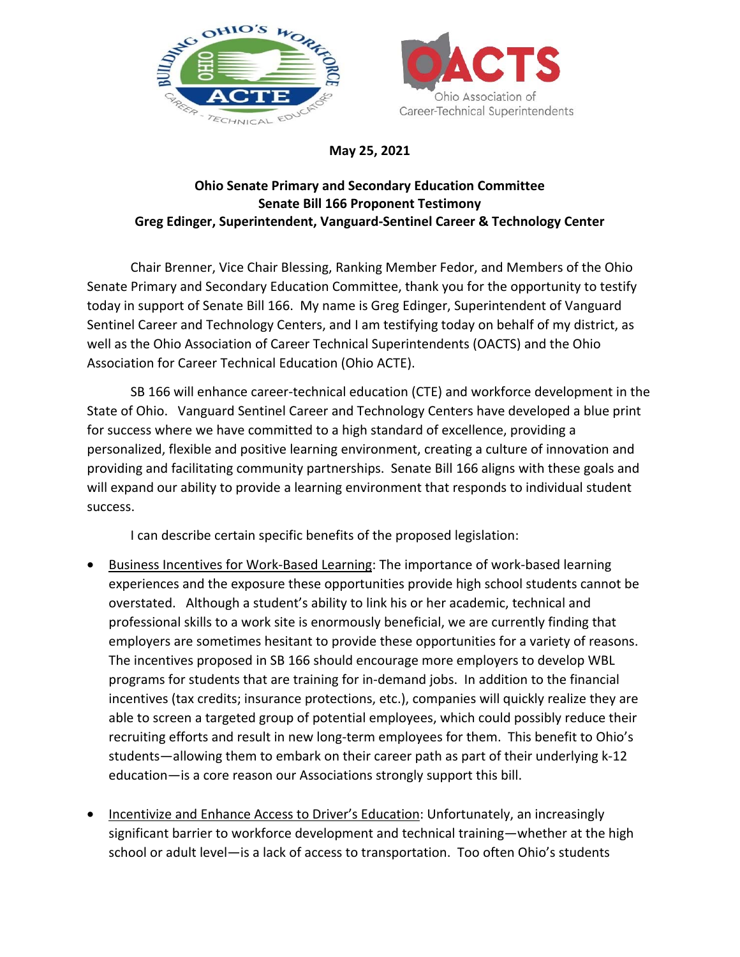



**May 25, 2021** 

## **Ohio Senate Primary and Secondary Education Committee Senate Bill 166 Proponent Testimony Greg Edinger, Superintendent, Vanguard-Sentinel Career & Technology Center**

 Chair Brenner, Vice Chair Blessing, Ranking Member Fedor, and Members of the Ohio Senate Primary and Secondary Education Committee, thank you for the opportunity to testify today in support of Senate Bill 166. My name is Greg Edinger, Superintendent of Vanguard Sentinel Career and Technology Centers, and I am testifying today on behalf of my district, as well as the Ohio Association of Career Technical Superintendents (OACTS) and the Ohio Association for Career Technical Education (Ohio ACTE).

 SB 166 will enhance career-technical education (CTE) and workforce development in the State of Ohio. Vanguard Sentinel Career and Technology Centers have developed a blue print for success where we have committed to a high standard of excellence, providing a personalized, flexible and positive learning environment, creating a culture of innovation and providing and facilitating community partnerships. Senate Bill 166 aligns with these goals and will expand our ability to provide a learning environment that responds to individual student success.

I can describe certain specific benefits of the proposed legislation:

- Business Incentives for Work-Based Learning: The importance of work-based learning experiences and the exposure these opportunities provide high school students cannot be overstated. Although a student's ability to link his or her academic, technical and professional skills to a work site is enormously beneficial, we are currently finding that employers are sometimes hesitant to provide these opportunities for a variety of reasons. The incentives proposed in SB 166 should encourage more employers to develop WBL programs for students that are training for in-demand jobs. In addition to the financial incentives (tax credits; insurance protections, etc.), companies will quickly realize they are able to screen a targeted group of potential employees, which could possibly reduce their recruiting efforts and result in new long-term employees for them. This benefit to Ohio's students—allowing them to embark on their career path as part of their underlying k-12 education—is a core reason our Associations strongly support this bill.
- Incentivize and Enhance Access to Driver's Education: Unfortunately, an increasingly significant barrier to workforce development and technical training—whether at the high school or adult level—is a lack of access to transportation. Too often Ohio's students